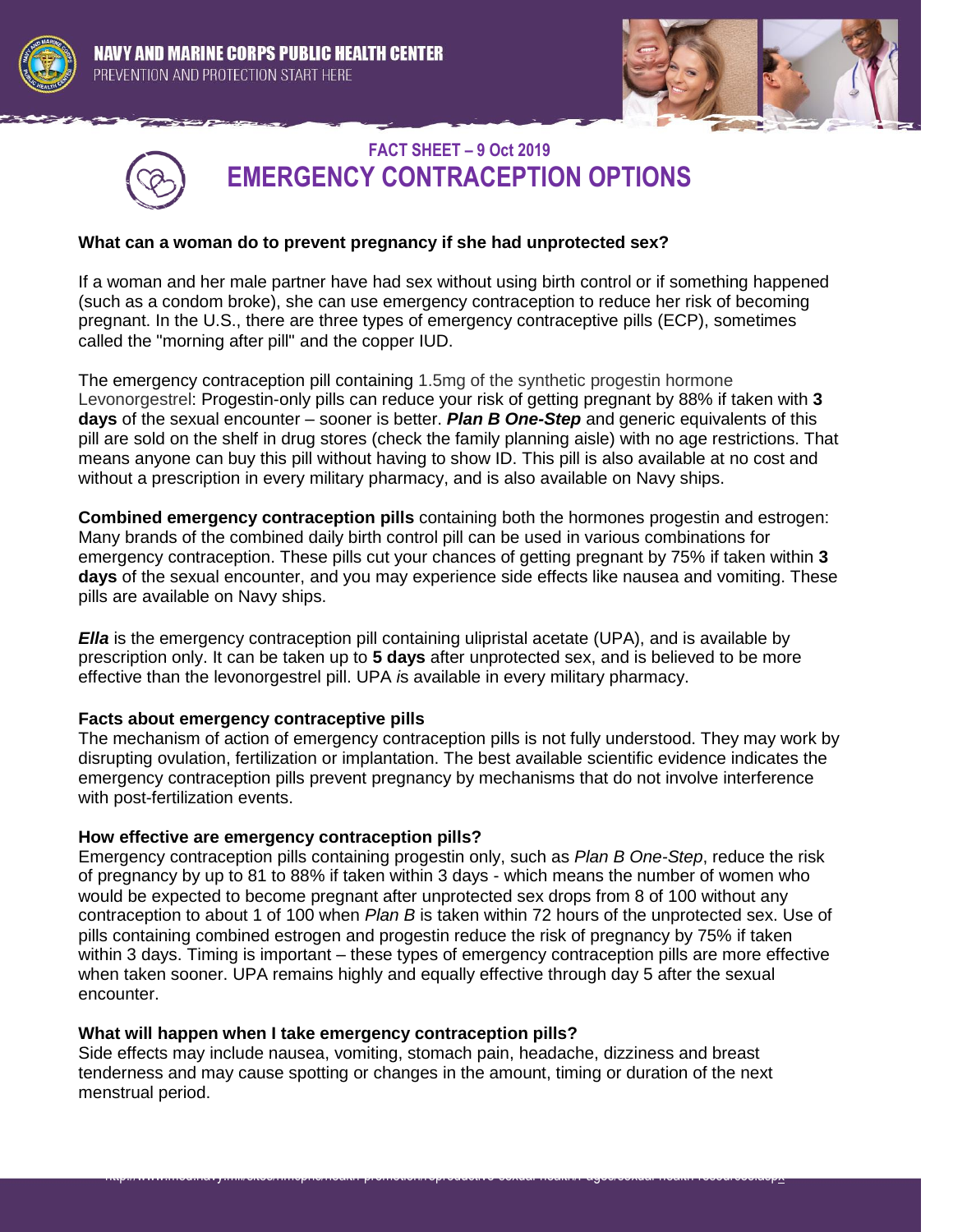





# **FACT SHEET – 9 Oct 2019 EMERGENCY CONTRACEPTION OPTIONS**

## **What can a woman do to prevent pregnancy if she had unprotected sex?**

If a woman and her male partner have had sex without using birth control or if something happened (such as a condom broke), she can use emergency contraception to reduce her risk of becoming pregnant. In the U.S., there are three types of emergency contraceptive pills (ECP), sometimes called the "morning after pill" and the copper IUD.

The emergency contraception pill containing 1.5mg of the synthetic progestin hormone Levonorgestrel: Progestin-only pills can reduce your risk of getting pregnant by 88% if taken with **3 days** of the sexual encounter – sooner is better. *Plan B One-Step* and generic equivalents of this pill are sold on the shelf in drug stores (check the family planning aisle) with no age restrictions. That means anyone can buy this pill without having to show ID. This pill is also available at no cost and without a prescription in every military pharmacy, and is also available on Navy ships.

**Combined emergency contraception pills** containing both the hormones progestin and estrogen: Many brands of the combined daily birth control pill can be used in various combinations for emergency contraception. These pills cut your chances of getting pregnant by 75% if taken within **3 days** of the sexual encounter, and you may experience side effects like nausea and vomiting. These pills are available on Navy ships.

*Ella* is the emergency contraception pill containing ulipristal acetate (UPA), and is available by prescription only. It can be taken up to **5 days** after unprotected sex, and is believed to be more effective than the levonorgestrel pill. UPA *i*s available in every military pharmacy.

### **Facts about emergency contraceptive pills**

The mechanism of action of emergency contraception pills is not fully understood. They may work by disrupting ovulation, fertilization or implantation. The best available scientific evidence indicates the emergency contraception pills prevent pregnancy by mechanisms that do not involve interference with post-fertilization events.

### **How effective are emergency contraception pills?**

Emergency contraception pills containing progestin only, such as *Plan B One-Step*, reduce the risk of pregnancy by up to 81 to 88% if taken within 3 days - which means the number of women who would be expected to become pregnant after unprotected sex drops from 8 of 100 without any contraception to about 1 of 100 when *Plan B* is taken within 72 hours of the unprotected sex. Use of pills containing combined estrogen and progestin reduce the risk of pregnancy by 75% if taken within 3 days. Timing is important – these types of emergency contraception pills are more effective when taken sooner. UPA remains highly and equally effective through day 5 after the sexual encounter.

### **What will happen when I take emergency contraception pills?**

Side effects may include nausea, vomiting, stomach pain, headache, dizziness and breast tenderness and may cause spotting or changes in the amount, timing or duration of the next menstrual period.